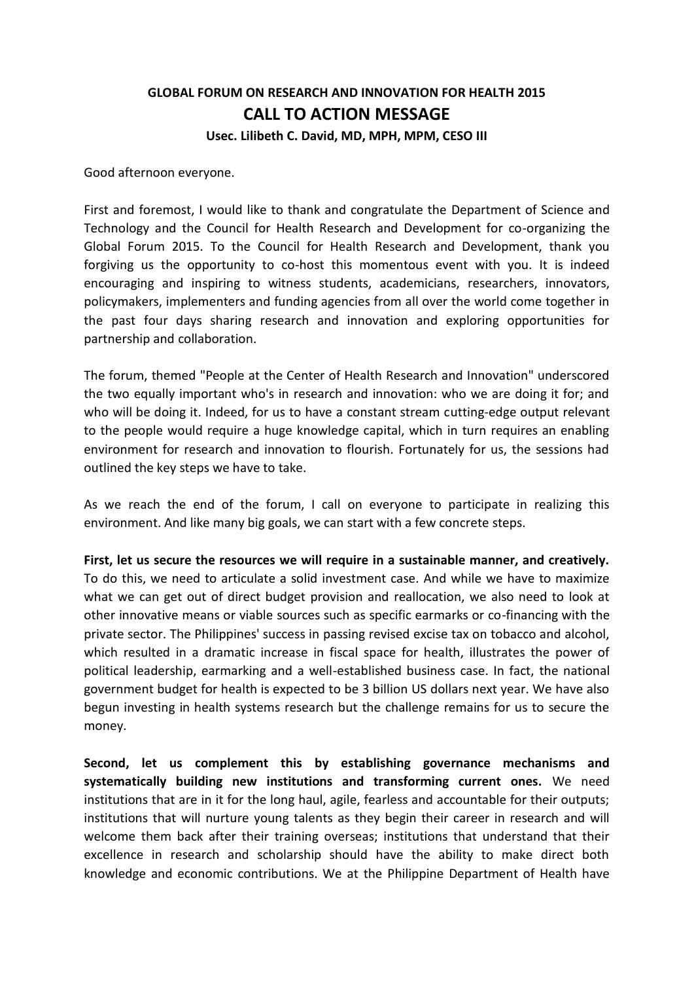## **GLOBAL FORUM ON RESEARCH AND INNOVATION FOR HEALTH 2015 CALL TO ACTION MESSAGE Usec. Lilibeth C. David, MD, MPH, MPM, CESO III**

Good afternoon everyone.

First and foremost, I would like to thank and congratulate the Department of Science and Technology and the Council for Health Research and Development for co-organizing the Global Forum 2015. To the Council for Health Research and Development, thank you forgiving us the opportunity to co-host this momentous event with you. It is indeed encouraging and inspiring to witness students, academicians, researchers, innovators, policymakers, implementers and funding agencies from all over the world come together in the past four days sharing research and innovation and exploring opportunities for partnership and collaboration.

The forum, themed "People at the Center of Health Research and Innovation" underscored the two equally important who's in research and innovation: who we are doing it for; and who will be doing it. Indeed, for us to have a constant stream cutting-edge output relevant to the people would require a huge knowledge capital, which in turn requires an enabling environment for research and innovation to flourish. Fortunately for us, the sessions had outlined the key steps we have to take.

As we reach the end of the forum, I call on everyone to participate in realizing this environment. And like many big goals, we can start with a few concrete steps.

**First, let us secure the resources we will require in a sustainable manner, and creatively.** To do this, we need to articulate a solid investment case. And while we have to maximize what we can get out of direct budget provision and reallocation, we also need to look at other innovative means or viable sources such as specific earmarks or co-financing with the private sector. The Philippines' success in passing revised excise tax on tobacco and alcohol, which resulted in a dramatic increase in fiscal space for health, illustrates the power of political leadership, earmarking and a well-established business case. In fact, the national government budget for health is expected to be 3 billion US dollars next year. We have also begun investing in health systems research but the challenge remains for us to secure the money.

**Second, let us complement this by establishing governance mechanisms and systematically building new institutions and transforming current ones.** We need institutions that are in it for the long haul, agile, fearless and accountable for their outputs; institutions that will nurture young talents as they begin their career in research and will welcome them back after their training overseas; institutions that understand that their excellence in research and scholarship should have the ability to make direct both knowledge and economic contributions. We at the Philippine Department of Health have